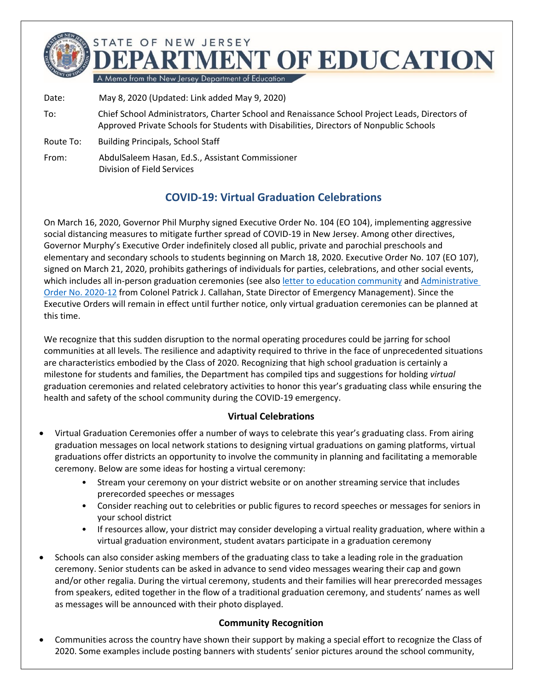

Date: May 8, 2020 (Updated: Link added May 9, 2020)

- To: Chief School Administrators, Charter School and Renaissance School Project Leads, Directors of Approved Private Schools for Students with Disabilities, Directors of Nonpublic Schools
- Route To: Building Principals, School Staff

From: AbdulSaleem Hasan, Ed.S., Assistant Commissioner Division of Field Services

## **COVID-19: Virtual Graduation Celebrations**

On March 16, 2020, Governor Phil Murphy signed Executive Order No. 104 (EO 104), implementing aggressive social distancing measures to mitigate further spread of COVID-19 in New Jersey. Among other directives, Governor Murphy's Executive Order indefinitely closed all public, private and parochial preschools and elementary and secondary schools to students beginning on March 18, 2020. Executive Order No. 107 (EO 107), signed on March 21, 2020, prohibits gatherings of individuals for parties, celebrations, and other social events, which includes all in-person graduation ceremonies (see also [letter to education community](https://www.state.nj.us/education/broadcasts/2020/may/8/Letter%20to%20DOE%20from%20Col%20Callahan.pdf) and Administrative [Order No. 2020-12](http://d31hzlhk6di2h5.cloudfront.net/20200506/4e/3d/83/2c/d5d09ab581c565fb38d7f515/AO_2020-12.pdf) from Colonel Patrick J. Callahan, State Director of Emergency Management). Since the Executive Orders will remain in effect until further notice, only virtual graduation ceremonies can be planned at this time.

We recognize that this sudden disruption to the normal operating procedures could be jarring for school communities at all levels. The resilience and adaptivity required to thrive in the face of unprecedented situations are characteristics embodied by the Class of 2020. Recognizing that high school graduation is certainly a milestone for students and families, the Department has compiled tips and suggestions for holding *virtual* graduation ceremonies and related celebratory activities to honor this year's graduating class while ensuring the health and safety of the school community during the COVID-19 emergency.

## **Virtual Celebrations**

- Virtual Graduation Ceremonies offer a number of ways to celebrate this year's graduating class. From airing graduation messages on local network stations to designing virtual graduations on gaming platforms, virtual graduations offer districts an opportunity to involve the community in planning and facilitating a memorable ceremony. Below are some ideas for hosting a virtual ceremony:
	- Stream your ceremony on your district website or on another streaming service that includes prerecorded speeches or messages
	- Consider reaching out to celebrities or public figures to record speeches or messages for seniors in your school district
	- If resources allow, your district may consider developing a virtual reality graduation, where within a virtual graduation environment, student avatars participate in a graduation ceremony
- Schools can also consider asking members of the graduating class to take a leading role in the graduation ceremony. Senior students can be asked in advance to send video messages wearing their cap and gown and/or other regalia. During the virtual ceremony, students and their families will hear prerecorded messages from speakers, edited together in the flow of a traditional graduation ceremony, and students' names as well as messages will be announced with their photo displayed.

## **Community Recognition**

• Communities across the country have shown their support by making a special effort to recognize the Class of 2020. Some examples include posting banners with students' senior pictures around the school community,